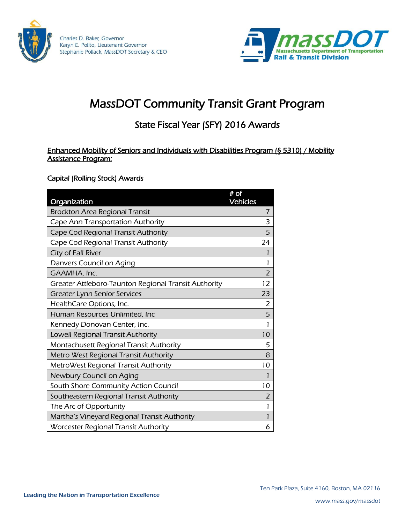



# MassDOT Community Transit Grant Program

## State Fiscal Year (SFY) 2016 Awards

Enhanced Mobility of Seniors and Individuals with Disabilities Program (§ 5310) / Mobility Assistance Program:

#### Capital (Rolling Stock) Awards

|                                                       | $#$ of<br><b>Vehicles</b> |                |
|-------------------------------------------------------|---------------------------|----------------|
| Organization<br><b>Brockton Area Regional Transit</b> |                           | 7              |
| Cape Ann Transportation Authority                     |                           | 3              |
| Cape Cod Regional Transit Authority                   |                           | 5              |
| Cape Cod Regional Transit Authority                   |                           | 24             |
| City of Fall River                                    |                           | 1              |
| Danvers Council on Aging                              |                           | 1              |
| GAAMHA, Inc.                                          |                           | $\overline{2}$ |
| Greater Attleboro-Taunton Regional Transit Authority  |                           | 12             |
| <b>Greater Lynn Senior Services</b>                   |                           | 23             |
| HealthCare Options, Inc.                              |                           | 2              |
| Human Resources Unlimited, Inc                        |                           | 5              |
| Kennedy Donovan Center, Inc.                          |                           | 1              |
| Lowell Regional Transit Authority                     |                           | 10             |
| Montachusett Regional Transit Authority               |                           | 5              |
| Metro West Regional Transit Authority                 |                           | 8              |
| MetroWest Regional Transit Authority                  |                           | 10             |
| Newbury Council on Aging                              |                           |                |
| South Shore Community Action Council                  |                           | 10             |
| Southeastern Regional Transit Authority               |                           | 2              |
| The Arc of Opportunity                                |                           | 1              |
| Martha's Vineyard Regional Transit Authority          |                           | 1              |
| Worcester Regional Transit Authority                  |                           | 6              |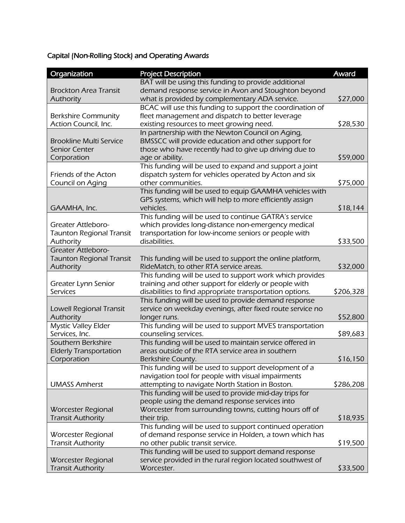### Capital (Non-Rolling Stock) and Operating Awards

| Organization                    | <b>Project Description</b>                                | Award     |
|---------------------------------|-----------------------------------------------------------|-----------|
|                                 | BAT will be using this funding to provide additional      |           |
| <b>Brockton Area Transit</b>    | demand response service in Avon and Stoughton beyond      |           |
| Authority                       | what is provided by complementary ADA service.            | \$27,000  |
|                                 | BCAC will use this funding to support the coordination of |           |
| <b>Berkshire Community</b>      | fleet management and dispatch to better leverage          |           |
| Action Council, Inc.            | existing resources to meet growing need.                  | \$28,530  |
|                                 | In partnership with the Newton Council on Aging,          |           |
| <b>Brookline Multi Service</b>  | BMSSCC will provide education and other support for       |           |
| <b>Senior Center</b>            | those who have recently had to give up driving due to     |           |
| Corporation                     | age or ability.                                           | \$59,000  |
|                                 | This funding will be used to expand and support a joint   |           |
| Friends of the Acton            | dispatch system for vehicles operated by Acton and six    |           |
| Council on Aging                | other communities.                                        | \$75,000  |
|                                 | This funding will be used to equip GAAMHA vehicles with   |           |
|                                 | GPS systems, which will help to more efficiently assign   |           |
| GAAMHA, Inc.                    | vehicles.                                                 | \$18,144  |
|                                 | This funding will be used to continue GATRA's service     |           |
| Greater Attleboro-              | which provides long-distance non-emergency medical        |           |
| <b>Taunton Regional Transit</b> | transportation for low-income seniors or people with      |           |
| Authority                       | disabilities.                                             | \$33,500  |
| <b>Greater Attleboro-</b>       |                                                           |           |
| <b>Taunton Regional Transit</b> | This funding will be used to support the online platform, |           |
| Authority                       | RideMatch, to other RTA service areas.                    | \$32,000  |
|                                 | This funding will be used to support work which provides  |           |
| Greater Lynn Senior             | training and other support for elderly or people with     |           |
| <b>Services</b>                 | disabilities to find appropriate transportation options.  | \$206,328 |
|                                 | This funding will be used to provide demand response      |           |
| Lowell Regional Transit         | service on weekday evenings, after fixed route service no |           |
| Authority                       | longer runs.                                              | \$52,800  |
| <b>Mystic Valley Elder</b>      | This funding will be used to support MVES transportation  |           |
| Services, Inc.                  | counseling services.                                      | \$89,683  |
| Southern Berkshire              | This funding will be used to maintain service offered in  |           |
| <b>Elderly Transportation</b>   | areas outside of the RTA service area in southern         |           |
| Corporation                     | Berkshire County.                                         | \$16,150  |
|                                 | This funding will be used to support development of a     |           |
|                                 | navigation tool for people with visual impairments        |           |
| <b>UMASS Amherst</b>            | attempting to navigate North Station in Boston.           | \$286,208 |
|                                 | This funding will be used to provide mid-day trips for    |           |
|                                 | people using the demand response services into            |           |
| Worcester Regional              | Worcester from surrounding towns, cutting hours off of    |           |
| <b>Transit Authority</b>        | their trip.                                               | \$18,935  |
|                                 | This funding will be used to support continued operation  |           |
| Worcester Regional              | of demand response service in Holden, a town which has    |           |
| <b>Transit Authority</b>        | no other public transit service.                          | \$19,500  |
|                                 | This funding will be used to support demand response      |           |
| Worcester Regional              | service provided in the rural region located southwest of |           |
| <b>Transit Authority</b>        | Worcester.                                                | \$33,500  |
|                                 |                                                           |           |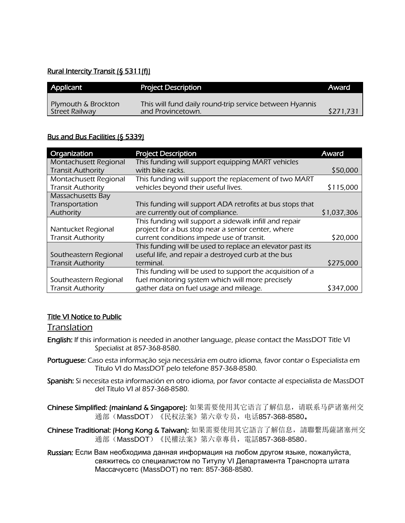#### Rural Intercity Transit (§ 5311(f))

| Applicant                             | <b>Project Description</b>                                                   | Award     |
|---------------------------------------|------------------------------------------------------------------------------|-----------|
| Plymouth & Brockton<br>Street Railway | This will fund daily round-trip service between Hyannis<br>and Provincetown. | \$271.731 |

#### Bus and Bus Facilities (§ 5339)

| Organization             | <b>Project Description</b>                                | Award       |
|--------------------------|-----------------------------------------------------------|-------------|
| Montachusett Regional    | This funding will support equipping MART vehicles         |             |
| <b>Transit Authority</b> | with bike racks.                                          | \$50,000    |
| Montachusett Regional    | This funding will support the replacement of two MART     |             |
| <b>Transit Authority</b> | vehicles beyond their useful lives.                       | \$115,000   |
| Massachusetts Bay        |                                                           |             |
| Transportation           | This funding will support ADA retrofits at bus stops that |             |
| Authority                | are currently out of compliance.                          | \$1,037,306 |
|                          | This funding will support a sidewalk infill and repair    |             |
| Nantucket Regional       | project for a bus stop near a senior center, where        |             |
| <b>Transit Authority</b> | current conditions impede use of transit.                 | \$20,000    |
|                          | This funding will be used to replace an elevator past its |             |
| Southeastern Regional    | useful life, and repair a destroyed curb at the bus       |             |
| <b>Transit Authority</b> | terminal.                                                 | \$275,000   |
|                          | This funding will be used to support the acquisition of a |             |
| Southeastern Regional    | fuel monitoring system which will more precisely          |             |
| <b>Transit Authority</b> | gather data on fuel usage and mileage.                    | \$347,000   |

#### Title VI Notice to Public

### **Translation**

- English: If this information is needed in another language, please contact the MassDOT Title VI Specialist at 857-368-8580.
- Portuquese: Caso esta informação seja necessária em outro idioma, favor contar o Especialista em Título VI do MassDOT pelo telefone 857-368-8580.
- Spanish: Si necesita esta información en otro idioma, por favor contacte al especialista de MassDOT del Título VI al 857-368-8580.
- Chinese Simplified: (mainland & Singapore): 如果需要使用其它语言了解信息,请联系马萨诸塞州交 通部(MassDOT)《民权法案》第六章专员, 电话857-368-8580。
- Chinese Traditional: (Hong Kong & Taiwan): 如果需要使用其它語言了解信息,請聯繫馬薩諸塞州交 通部(MassDOT)《民權法案》第六章專員, 電話857-368-8580。
- Russian: Если Вам необходима данная информация на любом другом языке, пожалуйста, свяжитесь со cпециалистом по Титулу VI Департамента Транспорта штата Массачусетс (MassDOT) по тел: 857-368-8580.